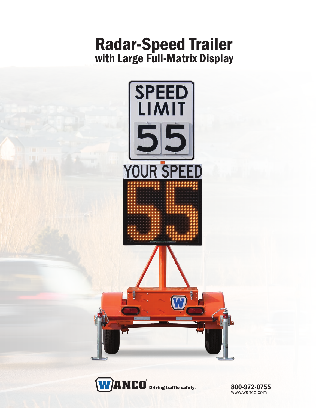## Radar-Speed Trailer with Large Full-Matrix Display





800-972-0755 www.wanco.com